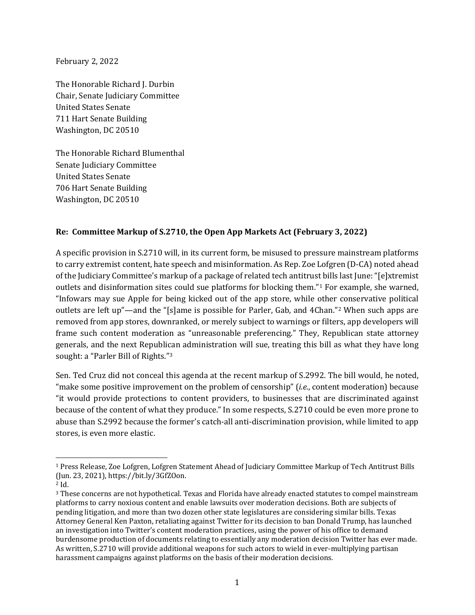February 2, 2022

The Honorable Richard J. Durbin Chair, Senate Judiciary Committee United States Senate 711 Hart Senate Building Washington, DC 20510

The Honorable Richard Blumenthal Senate Judiciary Committee United States Senate 706 Hart Senate Building Washington, DC 20510

## **Re: Committee Markup of S.2710, the Open App Markets Act (February 3, 2022)**

A specific provision in S.2710 will, in its current form, be misused to pressure mainstream platforms to carry extremist content, hate speech and misinformation. As Rep. Zoe Lofgren (D-CA) noted ahead of the Judiciary Committee's markup of a package of related tech antitrust bills last June: "[e]xtremist outlets and disinformation sites could sue platforms for blocking them."[1](#page-0-0) For example, she warned, "Infowars may sue Apple for being kicked out of the app store, while other conservative political outlets are left up"—and the "[s]ame is possible for Parler, Gab, and 4Chan."[2](#page-0-1) When such apps are removed from app stores, downranked, or merely subject to warnings or filters, app developers will frame such content moderation as "unreasonable preferencing." They, Republican state attorney generals, and the next Republican administration will sue, treating this bill as what they have long sought: a "Parler Bill of Rights."[3](#page-0-2)

Sen. Ted Cruz did not conceal this agenda at the recent markup of S.2992. The bill would, he noted, "make some positive improvement on the problem of censorship" (*i.e.*, content moderation) because "it would provide protections to content providers, to businesses that are discriminated against because of the content of what they produce." In some respects, S.2710 could be even more prone to abuse than S.2992 because the former's catch-all anti-discrimination provision, while limited to app stores, is even more elastic.

<span id="page-0-0"></span><sup>1</sup> Press Release, Zoe Lofgren, Lofgren Statement Ahead of Judiciary Committee Markup of Tech Antitrust Bills (Jun. 23, 2021), https://bit.ly/3GfZOon.

<span id="page-0-1"></span><sup>2</sup> Id.

<span id="page-0-2"></span><sup>3</sup> These concerns are not hypothetical. Texas and Florida have already enacted statutes to compel mainstream platforms to carry noxious content and enable lawsuits over moderation decisions. Both are subjects of pending litigation, and more than two dozen other state legislatures are considering similar bills. Texas Attorney General Ken Paxton, retaliating against Twitter for its decision to ban Donald Trump, has launched an investigation into Twitter's content moderation practices, using the power of his office to demand burdensome production of documents relating to essentially any moderation decision Twitter has ever made. As written, S.2710 will provide additional weapons for such actors to wield in ever-multiplying partisan harassment campaigns against platforms on the basis of their moderation decisions.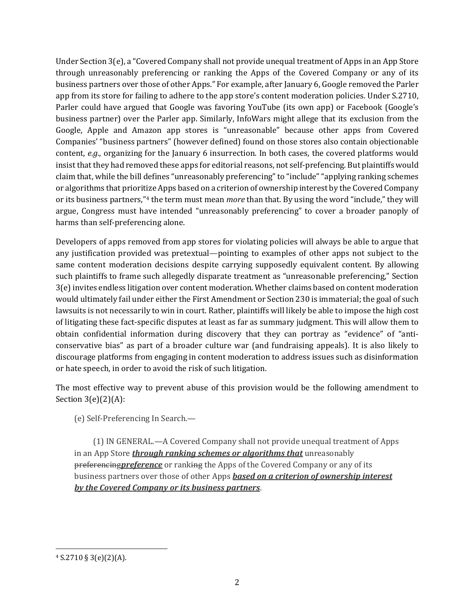Under Section 3(e), a "Covered Company shall not provide unequal treatment of Apps in an App Store through unreasonably preferencing or ranking the Apps of the Covered Company or any of its business partners over those of other Apps." For example, after January 6, Google removed the Parler app from its store for failing to adhere to the app store's content moderation policies. Under S.2710, Parler could have argued that Google was favoring YouTube (its own app) or Facebook (Google's business partner) over the Parler app. Similarly, InfoWars might allege that its exclusion from the Google, Apple and Amazon app stores is "unreasonable" because other apps from Covered Companies' "business partners" (however defined) found on those stores also contain objectionable content, *e.g.*, organizing for the January 6 insurrection. In both cases, the covered platforms would insist that they had removed these apps for editorial reasons, not self-prefencing. But plaintiffs would claim that, while the bill defines "unreasonably preferencing" to "include" "applying ranking schemes or algorithms that prioritize Apps based on a criterion of ownership interest by the Covered Company or its business partners,"[4](#page-1-0) the term must mean *more* than that. By using the word "include," they will argue, Congress must have intended "unreasonably preferencing" to cover a broader panoply of harms than self-preferencing alone.

Developers of apps removed from app stores for violating policies will always be able to argue that any justification provided was pretextual—pointing to examples of other apps not subject to the same content moderation decisions despite carrying supposedly equivalent content. By allowing such plaintiffs to frame such allegedly disparate treatment as "unreasonable preferencing," Section 3(e) invites endless litigation over content moderation. Whether claims based on content moderation would ultimately fail under either the First Amendment or Section 230 is immaterial; the goal of such lawsuits is not necessarily to win in court. Rather, plaintiffs will likely be able to impose the high cost of litigating these fact-specific disputes at least as far as summary judgment. This will allow them to obtain confidential information during discovery that they can portray as "evidence" of "anticonservative bias" as part of a broader culture war (and fundraising appeals). It is also likely to discourage platforms from engaging in content moderation to address issues such as disinformation or hate speech, in order to avoid the risk of such litigation.

The most effective way to prevent abuse of this provision would be the following amendment to Section  $3(e)(2)(A)$ :

(e) Self-Preferencing In Search.—

(1) IN GENERAL.—A Covered Company shall not provide unequal treatment of Apps in an App Store *through ranking schemes or algorithms that* unreasonably preferencing*preference* or ranking the Apps of the Covered Company or any of its business partners over those of other Apps *based on a criterion of ownership interest by the Covered Company or its business partners*.

<span id="page-1-0"></span> $4$  S.2710 § 3(e)(2)(A).